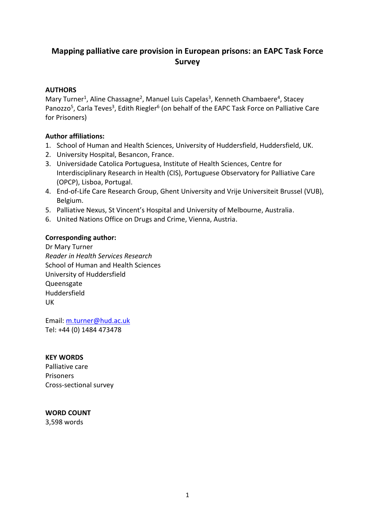# **Mapping palliative care provision in European prisons: an EAPC Task Force Survey**

# **AUTHORS**

Mary Turner<sup>1</sup>, Aline Chassagne<sup>2</sup>, Manuel Luis Capelas<sup>3</sup>, Kenneth Chambaere<sup>4</sup>, Stacey Panozzo<sup>5</sup>, Carla Teves<sup>3</sup>, Edith Riegler<sup>6</sup> (on behalf of the EAPC Task Force on Palliative Care for Prisoners)

#### **Author affiliations:**

- 1. School of Human and Health Sciences, University of Huddersfield, Huddersfield, UK.
- 2. University Hospital, Besancon, France.
- 3. Universidade Catolica Portuguesa, Institute of Health Sciences, Centre for Interdisciplinary Research in Health (CIS), Portuguese Observatory for Palliative Care (OPCP), Lisboa, Portugal.
- 4. End-of-Life Care Research Group, Ghent University and Vrije Universiteit Brussel (VUB), Belgium.
- 5. Palliative Nexus, St Vincent's Hospital and University of Melbourne, Australia.
- 6. United Nations Office on Drugs and Crime, Vienna, Austria.

#### **Corresponding author:**

Dr Mary Turner *Reader in Health Services Research* School of Human and Health Sciences University of Huddersfield Queensgate Huddersfield UK

Email: [m.turner@hud.ac.uk](mailto:m.turner@hud.ac.uk) Tel: +44 (0) 1484 473478

#### **KEY WORDS**

Palliative care Prisoners Cross-sectional survey

#### **WORD COUNT**

3,598 words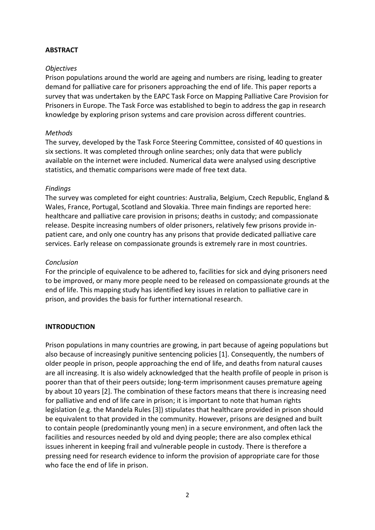### **ABSTRACT**

#### *Objectives*

Prison populations around the world are ageing and numbers are rising, leading to greater demand for palliative care for prisoners approaching the end of life. This paper reports a survey that was undertaken by the EAPC Task Force on Mapping Palliative Care Provision for Prisoners in Europe. The Task Force was established to begin to address the gap in research knowledge by exploring prison systems and care provision across different countries.

#### *Methods*

The survey, developed by the Task Force Steering Committee, consisted of 40 questions in six sections. It was completed through online searches; only data that were publicly available on the internet were included. Numerical data were analysed using descriptive statistics, and thematic comparisons were made of free text data.

#### *Findings*

The survey was completed for eight countries: Australia, Belgium, Czech Republic, England & Wales, France, Portugal, Scotland and Slovakia. Three main findings are reported here: healthcare and palliative care provision in prisons; deaths in custody; and compassionate release. Despite increasing numbers of older prisoners, relatively few prisons provide inpatient care, and only one country has any prisons that provide dedicated palliative care services. Early release on compassionate grounds is extremely rare in most countries.

#### *Conclusion*

For the principle of equivalence to be adhered to, facilities for sick and dying prisoners need to be improved, or many more people need to be released on compassionate grounds at the end of life. This mapping study has identified key issues in relation to palliative care in prison, and provides the basis for further international research.

# **INTRODUCTION**

Prison populations in many countries are growing, in part because of ageing populations but also because of increasingly punitive sentencing policies [1]. Consequently, the numbers of older people in prison, people approaching the end of life, and deaths from natural causes are all increasing. It is also widely acknowledged that the health profile of people in prison is poorer than that of their peers outside; long-term imprisonment causes premature ageing by about 10 years [2]. The combination of these factors means that there is increasing need for palliative and end of life care in prison; it is important to note that human rights legislation (e.g. the Mandela Rules [3]) stipulates that healthcare provided in prison should be equivalent to that provided in the community. However, prisons are designed and built to contain people (predominantly young men) in a secure environment, and often lack the facilities and resources needed by old and dying people; there are also complex ethical issues inherent in keeping frail and vulnerable people in custody. There is therefore a pressing need for research evidence to inform the provision of appropriate care for those who face the end of life in prison.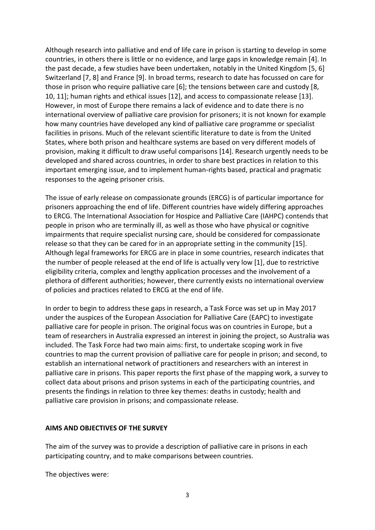Although research into palliative and end of life care in prison is starting to develop in some countries, in others there is little or no evidence, and large gaps in knowledge remain [4]. In the past decade, a few studies have been undertaken, notably in the United Kingdom [5, 6] Switzerland [7, 8] and France [9]. In broad terms, research to date has focussed on care for those in prison who require palliative care [6]; the tensions between care and custody [8, 10, 11]; human rights and ethical issues [12], and access to compassionate release [13]. However, in most of Europe there remains a lack of evidence and to date there is no international overview of palliative care provision for prisoners; it is not known for example how many countries have developed any kind of palliative care programme or specialist facilities in prisons. Much of the relevant scientific literature to date is from the United States, where both prison and healthcare systems are based on very different models of provision, making it difficult to draw useful comparisons [14]. Research urgently needs to be developed and shared across countries, in order to share best practices in relation to this important emerging issue, and to implement human-rights based, practical and pragmatic responses to the ageing prisoner crisis.

The issue of early release on compassionate grounds (ERCG) is of particular importance for prisoners approaching the end of life. Different countries have widely differing approaches to ERCG. The International Association for Hospice and Palliative Care (IAHPC) contends that people in prison who are terminally ill, as well as those who have physical or cognitive impairments that require specialist nursing care, should be considered for compassionate release so that they can be cared for in an appropriate setting in the community [15]. Although legal frameworks for ERCG are in place in some countries, research indicates that the number of people released at the end of life is actually very low [1], due to restrictive eligibility criteria, complex and lengthy application processes and the involvement of a plethora of different authorities; however, there currently exists no international overview of policies and practices related to ERCG at the end of life.

In order to begin to address these gaps in research, a Task Force was set up in May 2017 under the auspices of the European Association for Palliative Care (EAPC) to investigate palliative care for people in prison. The original focus was on countries in Europe, but a team of researchers in Australia expressed an interest in joining the project, so Australia was included. The Task Force had two main aims: first, to undertake scoping work in five countries to map the current provision of palliative care for people in prison; and second, to establish an international network of practitioners and researchers with an interest in palliative care in prisons. This paper reports the first phase of the mapping work, a survey to collect data about prisons and prison systems in each of the participating countries, and presents the findings in relation to three key themes: deaths in custody; health and palliative care provision in prisons; and compassionate release.

#### **AIMS AND OBJECTIVES OF THE SURVEY**

The aim of the survey was to provide a description of palliative care in prisons in each participating country, and to make comparisons between countries.

The objectives were: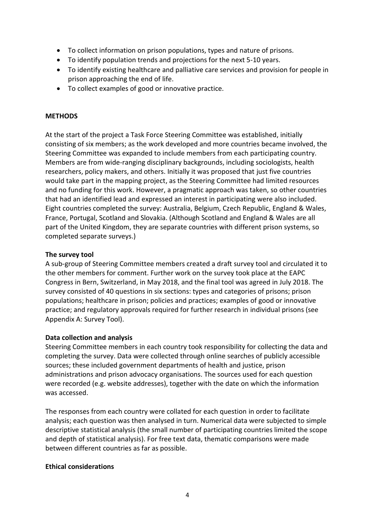- To collect information on prison populations, types and nature of prisons.
- To identify population trends and projections for the next 5-10 years.
- To identify existing healthcare and palliative care services and provision for people in prison approaching the end of life.
- To collect examples of good or innovative practice.

### **METHODS**

At the start of the project a Task Force Steering Committee was established, initially consisting of six members; as the work developed and more countries became involved, the Steering Committee was expanded to include members from each participating country. Members are from wide-ranging disciplinary backgrounds, including sociologists, health researchers, policy makers, and others. Initially it was proposed that just five countries would take part in the mapping project, as the Steering Committee had limited resources and no funding for this work. However, a pragmatic approach was taken, so other countries that had an identified lead and expressed an interest in participating were also included. Eight countries completed the survey: Australia, Belgium, Czech Republic, England & Wales, France, Portugal, Scotland and Slovakia. (Although Scotland and England & Wales are all part of the United Kingdom, they are separate countries with different prison systems, so completed separate surveys.)

#### **The survey tool**

A sub-group of Steering Committee members created a draft survey tool and circulated it to the other members for comment. Further work on the survey took place at the EAPC Congress in Bern, Switzerland, in May 2018, and the final tool was agreed in July 2018. The survey consisted of 40 questions in six sections: types and categories of prisons; prison populations; healthcare in prison; policies and practices; examples of good or innovative practice; and regulatory approvals required for further research in individual prisons (see Appendix A: Survey Tool).

# **Data collection and analysis**

Steering Committee members in each country took responsibility for collecting the data and completing the survey. Data were collected through online searches of publicly accessible sources; these included government departments of health and justice, prison administrations and prison advocacy organisations. The sources used for each question were recorded (e.g. website addresses), together with the date on which the information was accessed.

The responses from each country were collated for each question in order to facilitate analysis; each question was then analysed in turn. Numerical data were subjected to simple descriptive statistical analysis (the small number of participating countries limited the scope and depth of statistical analysis). For free text data, thematic comparisons were made between different countries as far as possible.

#### **Ethical considerations**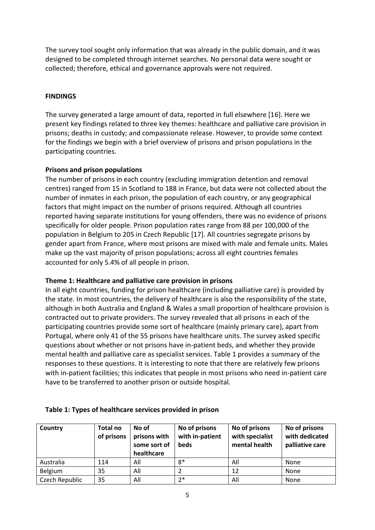The survey tool sought only information that was already in the public domain, and it was designed to be completed through internet searches. No personal data were sought or collected; therefore, ethical and governance approvals were not required.

### **FINDINGS**

The survey generated a large amount of data, reported in full elsewhere [16]. Here we present key findings related to three key themes: healthcare and palliative care provision in prisons; deaths in custody; and compassionate release. However, to provide some context for the findings we begin with a brief overview of prisons and prison populations in the participating countries.

#### **Prisons and prison populations**

The number of prisons in each country (excluding immigration detention and removal centres) ranged from 15 in Scotland to 188 in France, but data were not collected about the number of inmates in each prison, the population of each country, or any geographical factors that might impact on the number of prisons required. Although all countries reported having separate institutions for young offenders, there was no evidence of prisons specifically for older people. Prison population rates range from 88 per 100,000 of the population in Belgium to 205 in Czech Republic [17]. All countries segregate prisons by gender apart from France, where most prisons are mixed with male and female units. Males make up the vast majority of prison populations; across all eight countries females accounted for only 5.4% of all people in prison.

# **Theme 1: Healthcare and palliative care provision in prisons**

In all eight countries, funding for prison healthcare (including palliative care) is provided by the state. In most countries, the delivery of healthcare is also the responsibility of the state, although in both Australia and England & Wales a small proportion of healthcare provision is contracted out to private providers. The survey revealed that all prisons in each of the participating countries provide some sort of healthcare (mainly primary care), apart from Portugal, where only 41 of the 55 prisons have healthcare units. The survey asked specific questions about whether or not prisons have in-patient beds, and whether they provide mental health and palliative care as specialist services. Table 1 provides a summary of the responses to these questions. It is interesting to note that there are relatively few prisons with in-patient facilities; this indicates that people in most prisons who need in-patient care have to be transferred to another prison or outside hospital.

| Country        | Total no<br>of prisons | No of<br>prisons with<br>some sort of<br>healthcare | No of prisons<br>with in-patient<br><b>beds</b> | No of prisons<br>with specialist<br>mental health | No of prisons<br>with dedicated<br>palliative care |
|----------------|------------------------|-----------------------------------------------------|-------------------------------------------------|---------------------------------------------------|----------------------------------------------------|
| Australia      | 114                    | All                                                 | $8*$                                            | All                                               | None                                               |
| Belgium        | 35                     | All                                                 |                                                 | 12                                                | None                                               |
| Czech Republic | 35                     | All                                                 | $2*$                                            | All                                               | None                                               |

#### **Table 1: Types of healthcare services provided in prison**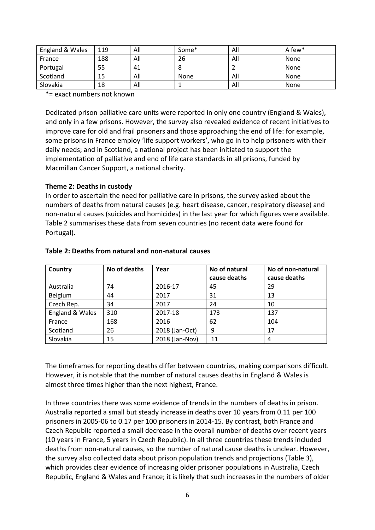| England & Wales | 119 | All | Some* | All | A few* |
|-----------------|-----|-----|-------|-----|--------|
| France          | 188 | All | 26    | All | None   |
| Portugal        | 55  | 41  |       |     | None   |
| Scotland        | 15  | All | None  | All | None   |
| Slovakia        | 18  | All |       | All | None   |

\*= exact numbers not known

Dedicated prison palliative care units were reported in only one country (England & Wales), and only in a few prisons. However, the survey also revealed evidence of recent initiatives to improve care for old and frail prisoners and those approaching the end of life: for example, some prisons in France employ 'life support workers', who go in to help prisoners with their daily needs; and in Scotland, a national project has been initiated to support the implementation of palliative and end of life care standards in all prisons, funded by Macmillan Cancer Support, a national charity.

#### **Theme 2: Deaths in custody**

In order to ascertain the need for palliative care in prisons, the survey asked about the numbers of deaths from natural causes (e.g. heart disease, cancer, respiratory disease) and non-natural causes (suicides and homicides) in the last year for which figures were available. Table 2 summarises these data from seven countries (no recent data were found for Portugal).

| Country         | No of deaths | Year           | No of natural<br>cause deaths | No of non-natural<br>cause deaths |
|-----------------|--------------|----------------|-------------------------------|-----------------------------------|
|                 |              |                |                               |                                   |
| Australia       | 74           | 2016-17        | 45                            | 29                                |
| Belgium         | 44           | 2017           | 31                            | 13                                |
| Czech Rep.      | 34           | 2017           | 24                            | 10                                |
| England & Wales | 310          | 2017-18        | 173                           | 137                               |
| France          | 168          | 2016           | 62                            | 104                               |
| Scotland        | 26           | 2018 (Jan-Oct) | 9                             | 17                                |
| Slovakia        | 15           | 2018 (Jan-Nov) | 11                            | 4                                 |

#### **Table 2: Deaths from natural and non-natural causes**

The timeframes for reporting deaths differ between countries, making comparisons difficult. However, it is notable that the number of natural causes deaths in England & Wales is almost three times higher than the next highest, France.

In three countries there was some evidence of trends in the numbers of deaths in prison. Australia reported a small but steady increase in deaths over 10 years from 0.11 per 100 prisoners in 2005-06 to 0.17 per 100 prisoners in 2014-15. By contrast, both France and Czech Republic reported a small decrease in the overall number of deaths over recent years (10 years in France, 5 years in Czech Republic). In all three countries these trends included deaths from non-natural causes, so the number of natural cause deaths is unclear. However, the survey also collected data about prison population trends and projections (Table 3), which provides clear evidence of increasing older prisoner populations in Australia, Czech Republic, England & Wales and France; it is likely that such increases in the numbers of older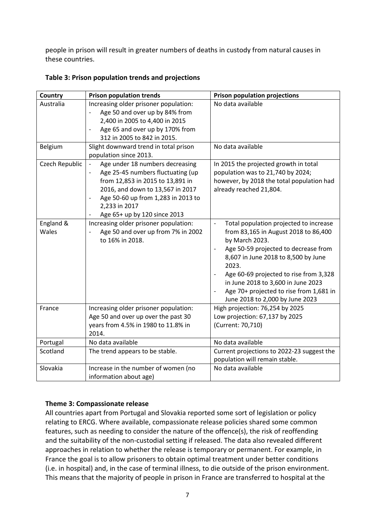people in prison will result in greater numbers of deaths in custody from natural causes in these countries.

| Country            | <b>Prison population trends</b>                                                                                                                                                                                                     | <b>Prison population projections</b>                                                                                                                                                                                                                                                                                                                                                                 |
|--------------------|-------------------------------------------------------------------------------------------------------------------------------------------------------------------------------------------------------------------------------------|------------------------------------------------------------------------------------------------------------------------------------------------------------------------------------------------------------------------------------------------------------------------------------------------------------------------------------------------------------------------------------------------------|
| Australia          | Increasing older prisoner population:<br>Age 50 and over up by 84% from<br>2,400 in 2005 to 4,400 in 2015<br>Age 65 and over up by 170% from<br>$\overline{a}$<br>312 in 2005 to 842 in 2015.                                       | No data available                                                                                                                                                                                                                                                                                                                                                                                    |
| Belgium            | Slight downward trend in total prison<br>population since 2013.                                                                                                                                                                     | No data available                                                                                                                                                                                                                                                                                                                                                                                    |
| Czech Republic     | Age under 18 numbers decreasing<br>Age 25-45 numbers fluctuating (up<br>from 12,853 in 2015 to 13,891 in<br>2016, and down to 13,567 in 2017<br>Age 50-60 up from 1,283 in 2013 to<br>2,233 in 2017<br>Age 65+ up by 120 since 2013 | In 2015 the projected growth in total<br>population was to 21,740 by 2024;<br>however, by 2018 the total population had<br>already reached 21,804.                                                                                                                                                                                                                                                   |
| England &<br>Wales | Increasing older prisoner population:<br>Age 50 and over up from 7% in 2002<br>$\overline{a}$<br>to 16% in 2018.                                                                                                                    | Total population projected to increase<br>$\blacksquare$<br>from 83,165 in August 2018 to 86,400<br>by March 2023.<br>Age 50-59 projected to decrease from<br>8,607 in June 2018 to 8,500 by June<br>2023.<br>Age 60-69 projected to rise from 3,328<br>$\overline{\phantom{a}}$<br>in June 2018 to 3,600 in June 2023<br>Age 70+ projected to rise from 1,681 in<br>June 2018 to 2,000 by June 2023 |
| France             | Increasing older prisoner population:<br>Age 50 and over up over the past 30<br>years from 4.5% in 1980 to 11.8% in<br>2014.                                                                                                        | High projection: 76,254 by 2025<br>Low projection: 67,137 by 2025<br>(Current: 70,710)                                                                                                                                                                                                                                                                                                               |
| Portugal           | No data available                                                                                                                                                                                                                   | No data available                                                                                                                                                                                                                                                                                                                                                                                    |
| Scotland           | The trend appears to be stable.                                                                                                                                                                                                     | Current projections to 2022-23 suggest the<br>population will remain stable.                                                                                                                                                                                                                                                                                                                         |
| Slovakia           | Increase in the number of women (no<br>information about age)                                                                                                                                                                       | No data available                                                                                                                                                                                                                                                                                                                                                                                    |

# **Table 3: Prison population trends and projections**

# **Theme 3: Compassionate release**

All countries apart from Portugal and Slovakia reported some sort of legislation or policy relating to ERCG. Where available, compassionate release policies shared some common features, such as needing to consider the nature of the offence(s), the risk of reoffending and the suitability of the non-custodial setting if released. The data also revealed different approaches in relation to whether the release is temporary or permanent. For example, in France the goal is to allow prisoners to obtain optimal treatment under better conditions (i.e. in hospital) and, in the case of terminal illness, to die outside of the prison environment. This means that the majority of people in prison in France are transferred to hospital at the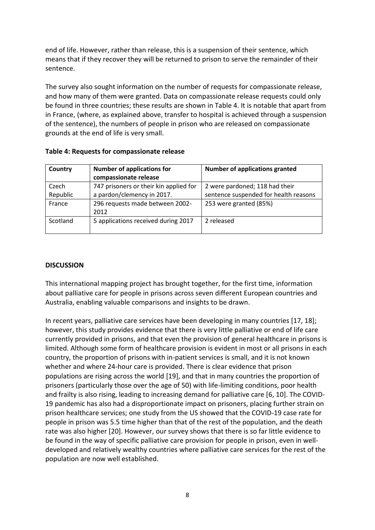end of life. However, rather than release, this is a suspension of their sentence, which means that if they recover they will be returned to prison to serve the remainder of their sentence.

The survey also sought information on the number of requests for compassionate release, and how many of them were granted. Data on compassionate release requests could only be found in three countries; these results are shown in Table 4. It is notable that apart from in France, (where, as explained above, transfer to hospital is achieved through a suspension of the sentence), the numbers of people in prison who are released on compassionate grounds at the end of life is very small.

| Country  | <b>Number of applications for</b><br>compassionate release | <b>Number of applications granted</b> |
|----------|------------------------------------------------------------|---------------------------------------|
| Czech    | 747 prisoners or their kin applied for                     | 2 were pardoned; 118 had their        |
| Republic | a pardon/clemency in 2017.                                 | sentence suspended for health reasons |
| France   | 296 requests made between 2002-<br>2012                    | 253 were granted (85%)                |
| Scotland | 5 applications received during 2017                        | 2 released                            |

#### **Table 4: Requests for compassionate release**

#### **DISCUSSION**

This international mapping project has brought together, for the first time, information about palliative care for people in prisons across seven different European countries and Australia, enabling valuable comparisons and insights to be drawn.

In recent years, palliative care services have been developing in many countries [17, 18]; however, this study provides evidence that there is very little palliative or end of life care currently provided in prisons, and that even the provision of general healthcare in prisons is limited. Although some form of healthcare provision is evident in most or all prisons in each country, the proportion of prisons with in-patient services is small, and it is not known whether and where 24-hour care is provided. There is clear evidence that prison populations are rising across the world [19], and that in many countries the proportion of prisoners (particularly those over the age of 50) with life-limiting conditions, poor health and frailty is also rising, leading to increasing demand for palliative care [6, 10]. The COVID-19 pandemic has also had a disproportionate impact on prisoners, placing further strain on prison healthcare services; one study from the US showed that the COVID-19 case rate for people in prison was 5.5 time higher than that of the rest of the population, and the death rate was also higher [20]. However, our survey shows that there is so far little evidence to be found in the way of specific palliative care provision for people in prison, even in welldeveloped and relatively wealthy countries where palliative care services for the rest of the population are now well established.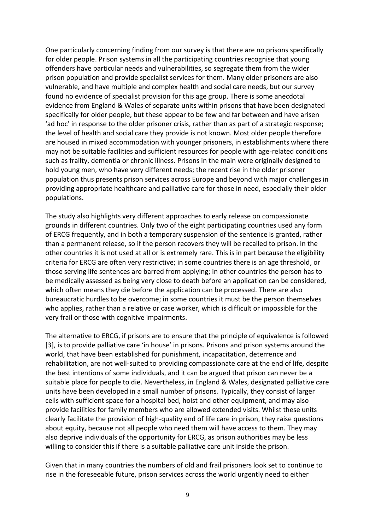One particularly concerning finding from our survey is that there are no prisons specifically for older people. Prison systems in all the participating countries recognise that young offenders have particular needs and vulnerabilities, so segregate them from the wider prison population and provide specialist services for them. Many older prisoners are also vulnerable, and have multiple and complex health and social care needs, but our survey found no evidence of specialist provision for this age group. There is some anecdotal evidence from England & Wales of separate units within prisons that have been designated specifically for older people, but these appear to be few and far between and have arisen 'ad hoc' in response to the older prisoner crisis, rather than as part of a strategic response; the level of health and social care they provide is not known. Most older people therefore are housed in mixed accommodation with younger prisoners, in establishments where there may not be suitable facilities and sufficient resources for people with age-related conditions such as frailty, dementia or chronic illness. Prisons in the main were originally designed to hold young men, who have very different needs; the recent rise in the older prisoner population thus presents prison services across Europe and beyond with major challenges in providing appropriate healthcare and palliative care for those in need, especially their older populations.

The study also highlights very different approaches to early release on compassionate grounds in different countries. Only two of the eight participating countries used any form of ERCG frequently, and in both a temporary suspension of the sentence is granted, rather than a permanent release, so if the person recovers they will be recalled to prison. In the other countries it is not used at all or is extremely rare. This is in part because the eligibility criteria for ERCG are often very restrictive; in some countries there is an age threshold, or those serving life sentences are barred from applying; in other countries the person has to be medically assessed as being very close to death before an application can be considered, which often means they die before the application can be processed. There are also bureaucratic hurdles to be overcome; in some countries it must be the person themselves who applies, rather than a relative or case worker, which is difficult or impossible for the very frail or those with cognitive impairments.

The alternative to ERCG, if prisons are to ensure that the principle of equivalence is followed [3], is to provide palliative care 'in house' in prisons. Prisons and prison systems around the world, that have been established for punishment, incapacitation, deterrence and rehabilitation, are not well-suited to providing compassionate care at the end of life, despite the best intentions of some individuals, and it can be argued that prison can never be a suitable place for people to die. Nevertheless, in England & Wales, designated palliative care units have been developed in a small number of prisons. Typically, they consist of larger cells with sufficient space for a hospital bed, hoist and other equipment, and may also provide facilities for family members who are allowed extended visits. Whilst these units clearly facilitate the provision of high-quality end of life care in prison, they raise questions about equity, because not all people who need them will have access to them. They may also deprive individuals of the opportunity for ERCG, as prison authorities may be less willing to consider this if there is a suitable palliative care unit inside the prison.

Given that in many countries the numbers of old and frail prisoners look set to continue to rise in the foreseeable future, prison services across the world urgently need to either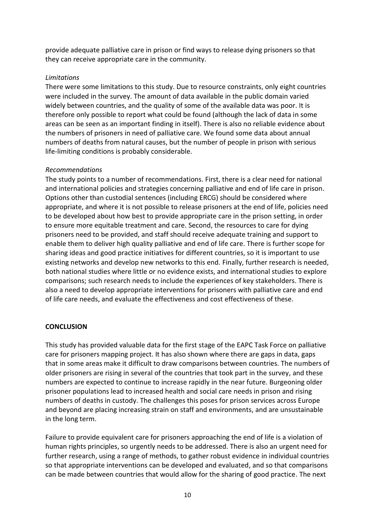provide adequate palliative care in prison or find ways to release dying prisoners so that they can receive appropriate care in the community.

#### *Limitations*

There were some limitations to this study. Due to resource constraints, only eight countries were included in the survey. The amount of data available in the public domain varied widely between countries, and the quality of some of the available data was poor. It is therefore only possible to report what could be found (although the lack of data in some areas can be seen as an important finding in itself). There is also no reliable evidence about the numbers of prisoners in need of palliative care. We found some data about annual numbers of deaths from natural causes, but the number of people in prison with serious life-limiting conditions is probably considerable.

#### *Recommendations*

The study points to a number of recommendations. First, there is a clear need for national and international policies and strategies concerning palliative and end of life care in prison. Options other than custodial sentences (including ERCG) should be considered where appropriate, and where it is not possible to release prisoners at the end of life, policies need to be developed about how best to provide appropriate care in the prison setting, in order to ensure more equitable treatment and care. Second, the resources to care for dying prisoners need to be provided, and staff should receive adequate training and support to enable them to deliver high quality palliative and end of life care. There is further scope for sharing ideas and good practice initiatives for different countries, so it is important to use existing networks and develop new networks to this end. Finally, further research is needed, both national studies where little or no evidence exists, and international studies to explore comparisons; such research needs to include the experiences of key stakeholders. There is also a need to develop appropriate interventions for prisoners with palliative care and end of life care needs, and evaluate the effectiveness and cost effectiveness of these.

# **CONCLUSION**

This study has provided valuable data for the first stage of the EAPC Task Force on palliative care for prisoners mapping project. It has also shown where there are gaps in data, gaps that in some areas make it difficult to draw comparisons between countries. The numbers of older prisoners are rising in several of the countries that took part in the survey, and these numbers are expected to continue to increase rapidly in the near future. Burgeoning older prisoner populations lead to increased health and social care needs in prison and rising numbers of deaths in custody. The challenges this poses for prison services across Europe and beyond are placing increasing strain on staff and environments, and are unsustainable in the long term.

Failure to provide equivalent care for prisoners approaching the end of life is a violation of human rights principles, so urgently needs to be addressed. There is also an urgent need for further research, using a range of methods, to gather robust evidence in individual countries so that appropriate interventions can be developed and evaluated, and so that comparisons can be made between countries that would allow for the sharing of good practice. The next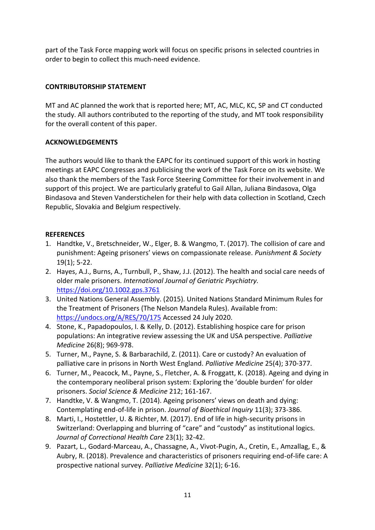part of the Task Force mapping work will focus on specific prisons in selected countries in order to begin to collect this much-need evidence.

# **CONTRIBUTORSHIP STATEMENT**

MT and AC planned the work that is reported here; MT, AC, MLC, KC, SP and CT conducted the study. All authors contributed to the reporting of the study, and MT took responsibility for the overall content of this paper.

# **ACKNOWLEDGEMENTS**

The authors would like to thank the EAPC for its continued support of this work in hosting meetings at EAPC Congresses and publicising the work of the Task Force on its website. We also thank the members of the Task Force Steering Committee for their involvement in and support of this project. We are particularly grateful to Gail Allan, Juliana Bindasova, Olga Bindasova and Steven Vanderstichelen for their help with data collection in Scotland, Czech Republic, Slovakia and Belgium respectively.

# **REFERENCES**

- 1. Handtke, V., Bretschneider, W., Elger, B. & Wangmo, T. (2017). The collision of care and punishment: Ageing prisoners' views on compassionate release. *Punishment & Society*  19(1); 5-22.
- 2. Hayes, A.J., Burns, A., Turnbull, P., Shaw, J.J. (2012). The health and social care needs of older male prisoners. *International Journal of Geriatric Psychiatry.* <https://doi.org/10.1002.gps.3761>
- 3. United Nations General Assembly. (2015). United Nations Standard Minimum Rules for the Treatment of Prisoners (The Nelson Mandela Rules). Available from: <https://undocs.org/A/RES/70/175> Accessed 24 July 2020.
- 4. Stone, K., Papadopoulos, I. & Kelly, D. (2012). Establishing hospice care for prison populations: An integrative review assessing the UK and USA perspective. *Palliative Medicine* 26(8); 969-978.
- 5. Turner, M., Payne, S. & Barbarachild, Z. (2011). Care or custody? An evaluation of palliative care in prisons in North West England. *Palliative Medicine* 25(4); 370-377.
- 6. Turner, M., Peacock, M., Payne, S., Fletcher, A. & Froggatt, K. (2018). Ageing and dying in the contemporary neoliberal prison system: Exploring the 'double burden' for older prisoners. *Social Science & Medicine* 212; 161-167.
- 7. Handtke, V. & Wangmo, T. (2014). Ageing prisoners' views on death and dying: Contemplating end-of-life in prison. *Journal of Bioethical Inquiry* 11(3); 373-386.
- 8. Marti, I., Hostettler, U. & Richter, M. (2017). End of life in high-security prisons in Switzerland: Overlapping and blurring of "care" and "custody" as institutional logics. *Journal of Correctional Health Care* 23(1); 32-42.
- 9. Pazart, L., Godard-Marceau, A., Chassagne, A., Vivot-Pugin, A., Cretin, E., Amzallag, E., & Aubry, R. (2018). Prevalence and characteristics of prisoners requiring end-of-life care: A prospective national survey. *Palliative Medicine* 32(1); 6-16.